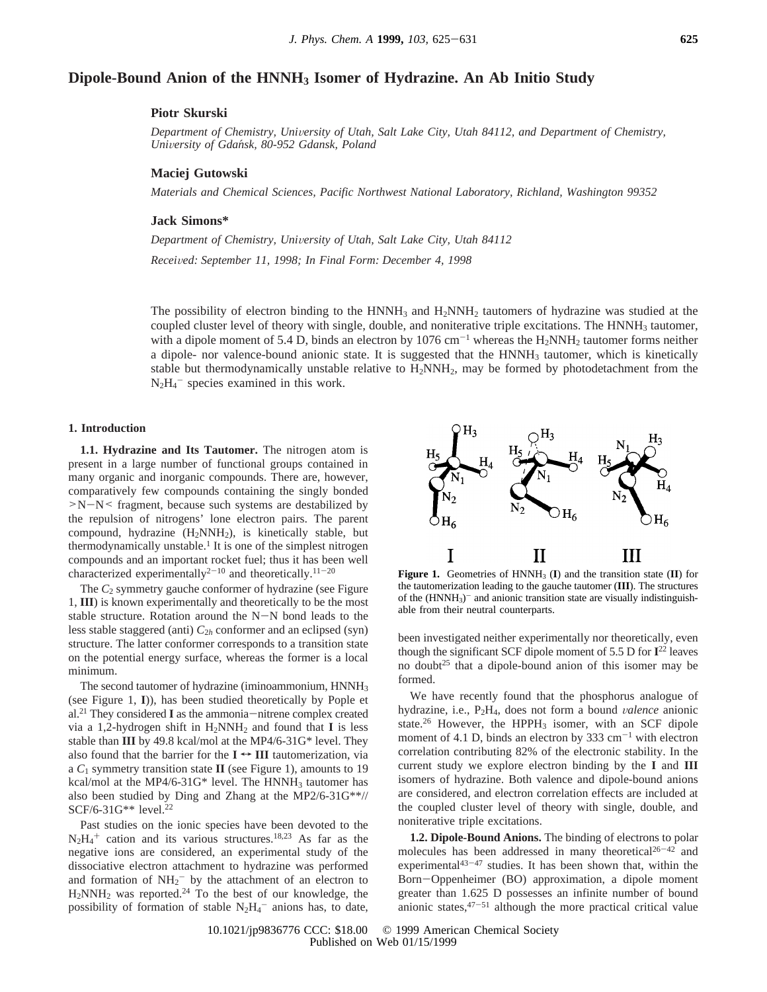# **Dipole-Bound Anion of the HNNH3 Isomer of Hydrazine. An Ab Initio Study**

## **Piotr Skurski**

*Department of Chemistry, Uni*V*ersity of Utah, Salt Lake City, Utah 84112, and Department of Chemistry, Uni*V*ersity of Gdan*´*sk, 80-952 Gdansk, Poland*

### **Maciej Gutowski**

*Materials and Chemical Sciences, Pacific Northwest National Laboratory, Richland, Washington 99352*

### **Jack Simons\***

*Department of Chemistry, University of Utah, Salt Lake City, Utah 84112* 

*Recei*V*ed: September 11, 1998; In Final Form: December 4, 1998*

The possibility of electron binding to the  $HNNH_3$  and  $H_2NNH_2$  tautomers of hydrazine was studied at the coupled cluster level of theory with single, double, and noniterative triple excitations. The  $HNNH<sub>3</sub>$  tautomer, with a dipole moment of 5.4 D, binds an electron by 1076 cm<sup>-1</sup> whereas the H<sub>2</sub>NNH<sub>2</sub> tautomer forms neither a dipole- nor valence-bound anionic state. It is suggested that the  $HNNH<sub>3</sub>$  tautomer, which is kinetically stable but thermodynamically unstable relative to  $H_2NNH_2$ , may be formed by photodetachment from the  $N_2H_4$ <sup>-</sup> species examined in this work.

### **1. Introduction**

**1.1. Hydrazine and Its Tautomer.** The nitrogen atom is present in a large number of functional groups contained in many organic and inorganic compounds. There are, however, comparatively few compounds containing the singly bonded  $>N-N \leq$  fragment, because such systems are destabilized by the repulsion of nitrogens' lone electron pairs. The parent compound, hydrazine  $(H_2NNH_2)$ , is kinetically stable, but thermodynamically unstable.<sup>1</sup> It is one of the simplest nitrogen compounds and an important rocket fuel; thus it has been well characterized experimentally<sup>2-10</sup> and theoretically.<sup>11-20</sup>

The  $C_2$  symmetry gauche conformer of hydrazine (see Figure 1, **III**) is known experimentally and theoretically to be the most stable structure. Rotation around the N-N bond leads to the less stable staggered (anti) *C*<sup>2</sup>*<sup>h</sup>* conformer and an eclipsed (syn) structure. The latter conformer corresponds to a transition state on the potential energy surface, whereas the former is a local minimum.

The second tautomer of hydrazine (iminoammonium, HNNH<sub>3</sub> (see Figure 1, **I**)), has been studied theoretically by Pople et al.21 They considered **<sup>I</sup>** as the ammonia-nitrene complex created via a 1,2-hydrogen shift in  $H_2NNH_2$  and found that **I** is less stable than **III** by 49.8 kcal/mol at the MP4/6-31G\* level. They also found that the barrier for the  $I \leftrightarrow III$  tautomerization, via a *C*<sup>1</sup> symmetry transition state **II** (see Figure 1), amounts to 19 kcal/mol at the MP4/6-31G\* level. The HNNH<sub>3</sub> tautomer has also been studied by Ding and Zhang at the MP2/6-31G\*\*// SCF/6-31G\*\* level.22

Past studies on the ionic species have been devoted to the  $N_2H_4$ <sup>+</sup> cation and its various structures.<sup>18,23</sup> As far as the negative ions are considered, an experimental study of the dissociative electron attachment to hydrazine was performed and formation of  $NH_2^-$  by the attachment of an electron to  $H_2$ NN $H_2$  was reported.<sup>24</sup> To the best of our knowledge, the possibility of formation of stable  $N_2H_4$ <sup>-</sup> anions has, to date,



**Figure 1.** Geometries of  $HNNH_3$  (I) and the transition state (II) for the tautomerization leading to the gauche tautomer (**III**). The structures of the  $(HNNH_3)$ <sup>-</sup> and anionic transition state are visually indistinguishable from their neutral counterparts.

been investigated neither experimentally nor theoretically, even though the significant SCF dipole moment of 5.5 D for **I**<sup>22</sup> leaves no doubt<sup>25</sup> that a dipole-bound anion of this isomer may be formed.

We have recently found that the phosphorus analogue of hydrazine, i.e., P2H4, does not form a bound V*alence* anionic state.<sup>26</sup> However, the HPPH<sub>3</sub> isomer, with an SCF dipole moment of 4.1 D, binds an electron by 333  $cm^{-1}$  with electron correlation contributing 82% of the electronic stability. In the current study we explore electron binding by the **I** and **III** isomers of hydrazine. Both valence and dipole-bound anions are considered, and electron correlation effects are included at the coupled cluster level of theory with single, double, and noniterative triple excitations.

**1.2. Dipole-Bound Anions.** The binding of electrons to polar molecules has been addressed in many theoretical<sup>26-42</sup> and experimental $43-47$  studies. It has been shown that, within the Born-Oppenheimer (BO) approximation, a dipole moment greater than 1.625 D possesses an infinite number of bound anionic states,  $47-51$  although the more practical critical value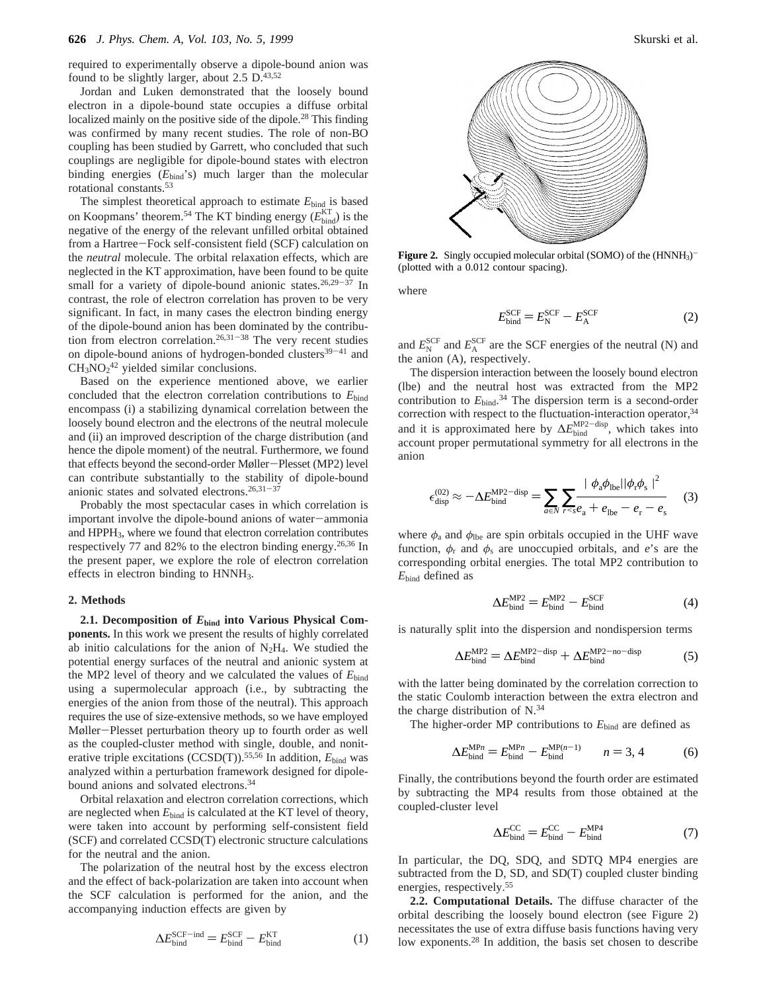required to experimentally observe a dipole-bound anion was found to be slightly larger, about  $2.5 \text{ D.}^{43,52}$ 

Jordan and Luken demonstrated that the loosely bound electron in a dipole-bound state occupies a diffuse orbital localized mainly on the positive side of the dipole.<sup>28</sup> This finding was confirmed by many recent studies. The role of non-BO coupling has been studied by Garrett, who concluded that such couplings are negligible for dipole-bound states with electron binding energies ( $E_{bind}$ 's) much larger than the molecular rotational constants.53

The simplest theoretical approach to estimate  $E_{bind}$  is based on Koopmans' theorem.<sup>54</sup> The KT binding energy  $(E_{\text{bind}}^{\text{KT}})$  is the negative of the energy of the relevant unfilled orbital obtained from a Hartree-Fock self-consistent field (SCF) calculation on the *neutral* molecule. The orbital relaxation effects, which are neglected in the KT approximation, have been found to be quite small for a variety of dipole-bound anionic states.<sup>26,29-37</sup> In contrast, the role of electron correlation has proven to be very significant. In fact, in many cases the electron binding energy of the dipole-bound anion has been dominated by the contribution from electron correlation.<sup>26,31-38</sup> The very recent studies on dipole-bound anions of hydrogen-bonded clusters<sup>39-41</sup> and  $CH<sub>3</sub>NO<sub>2</sub><sup>42</sup>$  yielded similar conclusions.

Based on the experience mentioned above, we earlier concluded that the electron correlation contributions to *E*bind encompass (i) a stabilizing dynamical correlation between the loosely bound electron and the electrons of the neutral molecule and (ii) an improved description of the charge distribution (and hence the dipole moment) of the neutral. Furthermore, we found that effects beyond the second-order Møller-Plesset (MP2) level can contribute substantially to the stability of dipole-bound anionic states and solvated electrons.<sup>26,31-37</sup>

Probably the most spectacular cases in which correlation is important involve the dipole-bound anions of water-ammonia and HPPH3, where we found that electron correlation contributes respectively 77 and 82% to the electron binding energy.26,36 In the present paper, we explore the role of electron correlation effects in electron binding to HNNH<sub>3</sub>.

#### **2. Methods**

**2.1. Decomposition of** *E***bind into Various Physical Components.** In this work we present the results of highly correlated ab initio calculations for the anion of  $N_2H_4$ . We studied the potential energy surfaces of the neutral and anionic system at the MP2 level of theory and we calculated the values of *E*bind using a supermolecular approach (i.e., by subtracting the energies of the anion from those of the neutral). This approach requires the use of size-extensive methods, so we have employed Møller-Plesset perturbation theory up to fourth order as well as the coupled-cluster method with single, double, and noniterative triple excitations (CCSD(T)).<sup>55,56</sup> In addition, *E*<sub>bind</sub> was analyzed within a perturbation framework designed for dipolebound anions and solvated electrons.34

Orbital relaxation and electron correlation corrections, which are neglected when  $E_{bind}$  is calculated at the KT level of theory, were taken into account by performing self-consistent field (SCF) and correlated CCSD(T) electronic structure calculations for the neutral and the anion.

The polarization of the neutral host by the excess electron and the effect of back-polarization are taken into account when the SCF calculation is performed for the anion, and the accompanying induction effects are given by

$$
\Delta E_{\text{bind}}^{\text{SCF-ind}} = E_{\text{bind}}^{\text{SCF}} - E_{\text{bind}}^{\text{KT}}
$$
 (1)



**Figure 2.** Singly occupied molecular orbital (SOMO) of the (HNNH<sub>3</sub>)<sup>-</sup> (plotted with a 0.012 contour spacing).

where

$$
E_{\text{bind}}^{\text{SCF}} = E_{\text{N}}^{\text{SCF}} - E_{\text{A}}^{\text{SCF}} \tag{2}
$$

and  $E_{\rm N}^{\rm SCF}$  and  $E_{\rm A}^{\rm SCF}$  are the SCF energies of the neutral (N) and the anion (A), respectively.

The dispersion interaction between the loosely bound electron (lbe) and the neutral host was extracted from the MP2 contribution to  $E_{bind}$ .<sup>34</sup> The dispersion term is a second-order correction with respect to the fluctuation-interaction operator,<sup>34</sup> and it is approximated here by  $\Delta E_{\text{bind}}^{\text{MP2-disp}}$ , which takes into account proper permutational symmetry for all electrons in the anion

$$
\epsilon_{\text{disp}}^{(02)} \approx -\Delta E_{\text{bind}}^{\text{MP2-disp}} = \sum_{a \in N} \sum_{r \le s} \frac{|\langle \phi_a \phi_{\text{lbe}} | |\phi_r \phi_s \rangle|^2}{\langle \phi_a \phi_{\text{lbe}} | \phi_r \phi_s \rangle^2} \tag{3}
$$

where  $\phi_a$  and  $\phi_{\text{lbe}}$  are spin orbitals occupied in the UHF wave function,  $\phi_r$  and  $\phi_s$  are unoccupied orbitals, and *e*'s are the corresponding orbital energies. The total MP2 contribution to *E*bind defined as

$$
\Delta E_{\text{bind}}^{\text{MP2}} = E_{\text{bind}}^{\text{MP2}} - E_{\text{bind}}^{\text{SCF}} \tag{4}
$$

is naturally split into the dispersion and nondispersion terms

$$
\Delta E_{\text{bind}}^{\text{MP2}} = \Delta E_{\text{bind}}^{\text{MP2-disp}} + \Delta E_{\text{bind}}^{\text{MP2-no-disp}} \tag{5}
$$

with the latter being dominated by the correlation correction to the static Coulomb interaction between the extra electron and the charge distribution of N.34

The higher-order MP contributions to  $E_{bind}$  are defined as

$$
\Delta E_{\text{bind}}^{\text{MP}n} = E_{\text{bind}}^{\text{MP}n} - E_{\text{bind}}^{\text{MP}(n-1)} \qquad n = 3, 4 \tag{6}
$$

Finally, the contributions beyond the fourth order are estimated by subtracting the MP4 results from those obtained at the coupled-cluster level

$$
\Delta E_{\text{bind}}^{\text{CC}} = E_{\text{bind}}^{\text{CC}} - E_{\text{bind}}^{\text{MP4}} \tag{7}
$$

In particular, the DQ, SDQ, and SDTQ MP4 energies are subtracted from the D, SD, and SD(T) coupled cluster binding energies, respectively.55

**2.2. Computational Details.** The diffuse character of the orbital describing the loosely bound electron (see Figure 2) necessitates the use of extra diffuse basis functions having very low exponents.<sup>28</sup> In addition, the basis set chosen to describe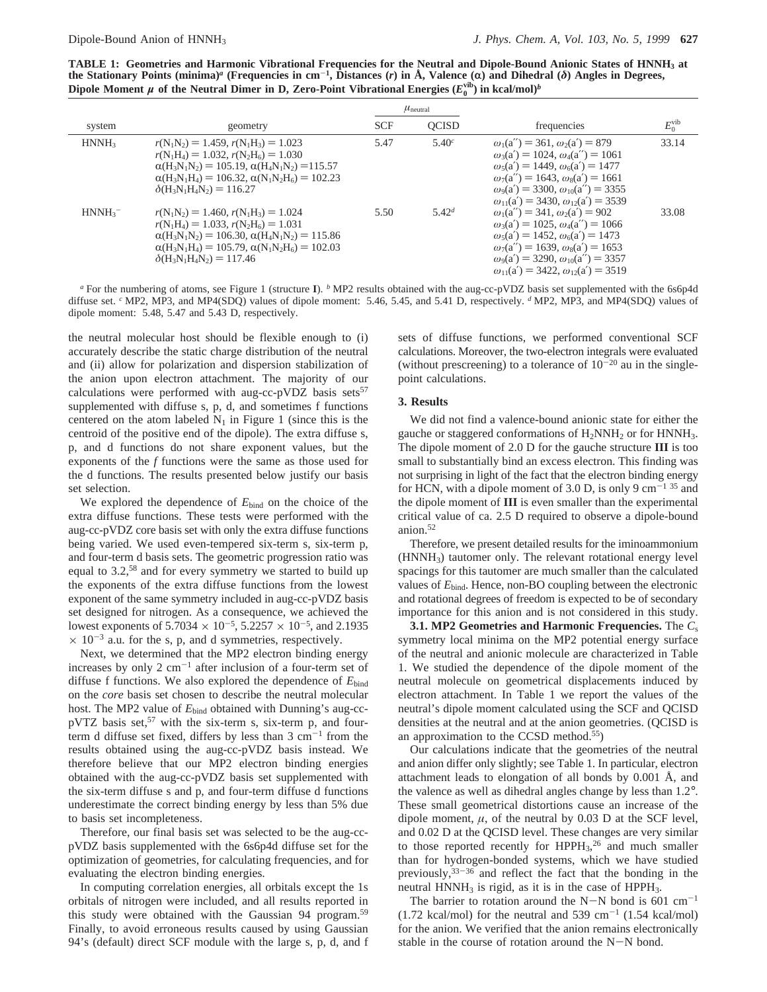**TABLE 1: Geometries and Harmonic Vibrational Frequencies for the Neutral and Dipole-Bound Anionic States of HNNH3 at the Stationary Points (minima)<sup>***a***</sup> (Frequencies in cm<sup>-1</sup>, Distances (***r***) in Å, Valence (α) and Dihedral (δ) Angles in Degrees,** Dipole Moment  $\mu$  of the Neutral Dimer in D, Zero-Point Vibrational Energies  $(E_0^{\text{vib}})$  in kcal/mol)<sup>*b*</sup>

|                       |                                                                                                                                                                                                                                                                                                       |            | $\mu_{\text{neutral}}$ |                                                                                                                                                                                                                                                                                                      |                    |
|-----------------------|-------------------------------------------------------------------------------------------------------------------------------------------------------------------------------------------------------------------------------------------------------------------------------------------------------|------------|------------------------|------------------------------------------------------------------------------------------------------------------------------------------------------------------------------------------------------------------------------------------------------------------------------------------------------|--------------------|
| system                | geometry                                                                                                                                                                                                                                                                                              | <b>SCF</b> | <b>OCISD</b>           | frequencies                                                                                                                                                                                                                                                                                          | $E_0^{\text{vib}}$ |
| HNNH <sub>3</sub>     | $r(N_1N_2) = 1.459$ , $r(N_1H_3) = 1.023$<br>$r(N_1H_4) = 1.032$ , $r(N_2H_6) = 1.030$<br>$\alpha(H_3N_1N_2) = 105.19$ , $\alpha(H_4N_1N_2) = 115.57$<br>$\alpha(H_3N_1H_4) = 106.32$ , $\alpha(N_1N_2H_6) = 102.23$<br>$\delta(H_3N_1H_4N_2)=116.27$                                                 | 5.47       | 5.40c                  | $\omega_1(a'') = 361, \omega_2(a') = 879$<br>$\omega_3(a') = 1024$ , $\omega_4(a'') = 1061$<br>$\omega_5(a') = 1449$ , $\omega_6(a') = 1477$<br>$\omega_7(a'') = 1643$ , $\omega_8(a') = 1661$<br>$\omega_9(a') = 3300, \omega_{10}(a'') = 3355$<br>$\omega_{11}(a') = 3430, \omega_{12}(a') = 3539$ | 33.14              |
| $HNNH_3$ <sup>-</sup> | $r(N_1N_2) = 1.460$ , $r(N_1H_3) = 1.024$<br>$r(N_1H_4) = 1.033$ , $r(N_2H_6) = 1.031$<br>$\alpha(H_3N_1N_2) = 106.30, \alpha(H_4N_1N_2) = 115.86$<br>$\alpha(H_3N_1H_4) = 105.79$ , $\alpha(N_1N_2H_6) = 102.03$<br>$\delta$ (H <sub>3</sub> N <sub>1</sub> H <sub>4</sub> N <sub>2</sub> ) = 117.46 | 5.50       | $5.42^{d}$             | $\omega_1(a'') = 341, \omega_2(a') = 902$<br>$\omega_3(a') = 1025$ , $\omega_4(a'') = 1066$<br>$\omega_5(a') = 1452, \omega_6(a') = 1473$<br>$\omega_7(a'') = 1639$ , $\omega_8(a') = 1653$<br>$\omega_9(a') = 3290, \omega_{10}(a'') = 3357$<br>$\omega_{11}(a') = 3422, \omega_{12}(a') = 3519$    | 33.08              |

*<sup>a</sup>* For the numbering of atoms, see Figure 1 (structure **I**). *<sup>b</sup>* MP2 results obtained with the aug-cc-pVDZ basis set supplemented with the 6s6p4d diffuse set. *<sup>c</sup>* MP2, MP3, and MP4(SDQ) values of dipole moment: 5.46, 5.45, and 5.41 D, respectively. *<sup>d</sup>* MP2, MP3, and MP4(SDQ) values of dipole moment: 5.48, 5.47 and 5.43 D, respectively.

the neutral molecular host should be flexible enough to (i) accurately describe the static charge distribution of the neutral and (ii) allow for polarization and dispersion stabilization of the anion upon electron attachment. The majority of our calculations were performed with aug-cc-pVDZ basis sets<sup>57</sup> supplemented with diffuse s, p, d, and sometimes f functions centered on the atom labeled  $N_1$  in Figure 1 (since this is the centroid of the positive end of the dipole). The extra diffuse s, p, and d functions do not share exponent values, but the exponents of the *f* functions were the same as those used for the d functions. The results presented below justify our basis set selection.

We explored the dependence of  $E_{bind}$  on the choice of the extra diffuse functions. These tests were performed with the aug-cc-pVDZ core basis set with only the extra diffuse functions being varied. We used even-tempered six-term s, six-term p, and four-term d basis sets. The geometric progression ratio was equal to 3.2,58 and for every symmetry we started to build up the exponents of the extra diffuse functions from the lowest exponent of the same symmetry included in aug-cc-pVDZ basis set designed for nitrogen. As a consequence, we achieved the lowest exponents of 5.7034  $\times$  10<sup>-5</sup>, 5.2257  $\times$  10<sup>-5</sup>, and 2.1935  $\times$  10<sup>-3</sup> a.u. for the s, p, and d symmetries, respectively.

Next, we determined that the MP2 electron binding energy increases by only  $2 \text{ cm}^{-1}$  after inclusion of a four-term set of diffuse f functions. We also explored the dependence of *E*bind on the *core* basis set chosen to describe the neutral molecular host. The MP2 value of  $E_{bind}$  obtained with Dunning's aug-cc $pVTZ$  basis set,<sup>57</sup> with the six-term s, six-term p, and fourterm d diffuse set fixed, differs by less than  $3 \text{ cm}^{-1}$  from the results obtained using the aug-cc-pVDZ basis instead. We therefore believe that our MP2 electron binding energies obtained with the aug-cc-pVDZ basis set supplemented with the six-term diffuse s and p, and four-term diffuse d functions underestimate the correct binding energy by less than 5% due to basis set incompleteness.

Therefore, our final basis set was selected to be the aug-ccpVDZ basis supplemented with the 6s6p4d diffuse set for the optimization of geometries, for calculating frequencies, and for evaluating the electron binding energies.

In computing correlation energies, all orbitals except the 1s orbitals of nitrogen were included, and all results reported in this study were obtained with the Gaussian 94 program.<sup>59</sup> Finally, to avoid erroneous results caused by using Gaussian 94's (default) direct SCF module with the large s, p, d, and f sets of diffuse functions, we performed conventional SCF calculations. Moreover, the two-electron integrals were evaluated (without prescreening) to a tolerance of  $10^{-20}$  au in the singlepoint calculations.

#### **3. Results**

We did not find a valence-bound anionic state for either the gauche or staggered conformations of H2NNH2 or for HNNH3. The dipole moment of 2.0 D for the gauche structure **III** is too small to substantially bind an excess electron. This finding was not surprising in light of the fact that the electron binding energy for HCN, with a dipole moment of 3.0 D, is only 9  $cm^{-1}$  35 and the dipole moment of **III** is even smaller than the experimental critical value of ca. 2.5 D required to observe a dipole-bound anion.52

Therefore, we present detailed results for the iminoammonium (HNNH3) tautomer only. The relevant rotational energy level spacings for this tautomer are much smaller than the calculated values of *E*bind. Hence, non-BO coupling between the electronic and rotational degrees of freedom is expected to be of secondary importance for this anion and is not considered in this study.

**3.1. MP2 Geometries and Harmonic Frequencies.** The *C*<sup>s</sup> symmetry local minima on the MP2 potential energy surface of the neutral and anionic molecule are characterized in Table 1. We studied the dependence of the dipole moment of the neutral molecule on geometrical displacements induced by electron attachment. In Table 1 we report the values of the neutral's dipole moment calculated using the SCF and QCISD densities at the neutral and at the anion geometries. (QCISD is an approximation to the CCSD method.55)

Our calculations indicate that the geometries of the neutral and anion differ only slightly; see Table 1. In particular, electron attachment leads to elongation of all bonds by 0.001 Å, and the valence as well as dihedral angles change by less than 1.2°. These small geometrical distortions cause an increase of the dipole moment,  $\mu$ , of the neutral by 0.03 D at the SCF level, and 0.02 D at the QCISD level. These changes are very similar to those reported recently for HPPH3, <sup>26</sup> and much smaller than for hydrogen-bonded systems, which we have studied previously,  $33-36$  and reflect the fact that the bonding in the neutral  $HNNH<sub>3</sub>$  is rigid, as it is in the case of  $HPPH<sub>3</sub>$ .

The barrier to rotation around the N-N bond is 601  $cm^{-1}$  $(1.72 \text{ kcal/mol})$  for the neutral and 539 cm<sup>-1</sup>  $(1.54 \text{ kcal/mol})$ for the anion. We verified that the anion remains electronically stable in the course of rotation around the N-N bond.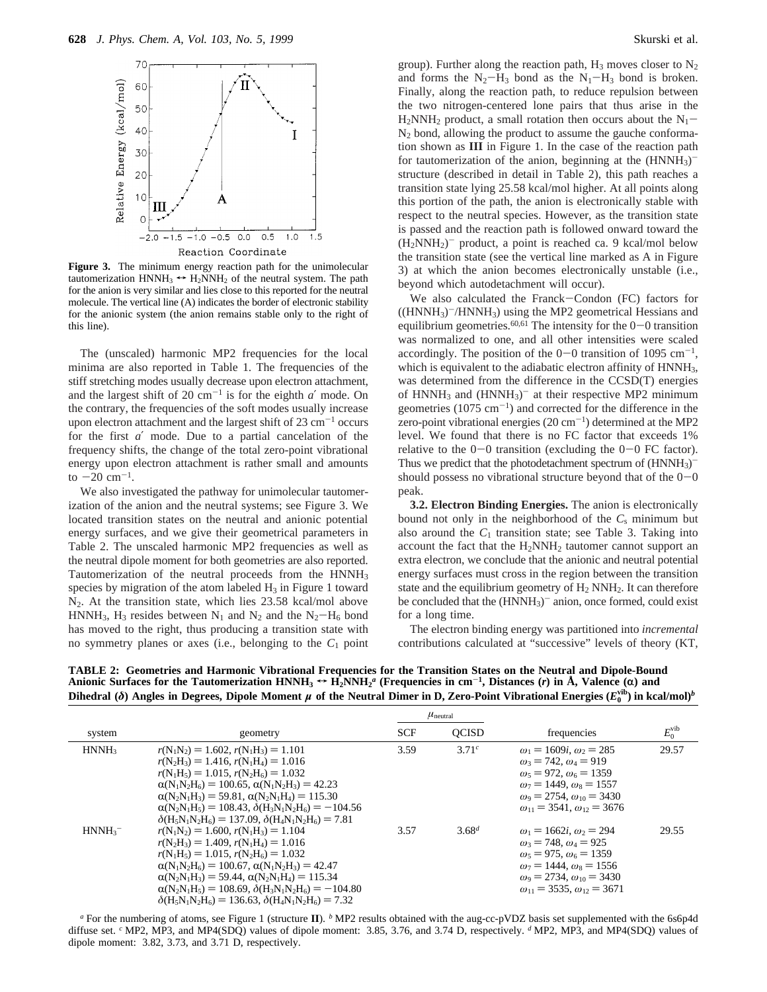

**Figure 3.** The minimum energy reaction path for the unimolecular tautomerization  $HNNH_3 \leftrightarrow H_2NNH_2$  of the neutral system. The path for the anion is very similar and lies close to this reported for the neutral molecule. The vertical line (A) indicates the border of electronic stability for the anionic system (the anion remains stable only to the right of this line).

The (unscaled) harmonic MP2 frequencies for the local minima are also reported in Table 1. The frequencies of the stiff stretching modes usually decrease upon electron attachment, and the largest shift of 20  $cm^{-1}$  is for the eighth  $a'$  mode. On the contrary, the frequencies of the soft modes usually increase upon electron attachment and the largest shift of  $23 \text{ cm}^{-1}$  occurs for the first *a*′ mode. Due to a partial cancelation of the frequency shifts, the change of the total zero-point vibrational energy upon electron attachment is rather small and amounts to  $-20$  cm<sup>-1</sup>.

We also investigated the pathway for unimolecular tautomerization of the anion and the neutral systems; see Figure 3. We located transition states on the neutral and anionic potential energy surfaces, and we give their geometrical parameters in Table 2. The unscaled harmonic MP2 frequencies as well as the neutral dipole moment for both geometries are also reported. Tautomerization of the neutral proceeds from the HNNH<sub>3</sub> species by migration of the atom labeled  $H_3$  in Figure 1 toward  $N_2$ . At the transition state, which lies 23.58 kcal/mol above HNNH<sub>3</sub>, H<sub>3</sub> resides between N<sub>1</sub> and N<sub>2</sub> and the N<sub>2</sub>-H<sub>6</sub> bond has moved to the right, thus producing a transition state with no symmetry planes or axes (i.e., belonging to the  $C_1$  point

group). Further along the reaction path,  $H_3$  moves closer to  $N_2$ and forms the  $N_2-H_3$  bond as the  $N_1-H_3$  bond is broken. Finally, along the reaction path, to reduce repulsion between the two nitrogen-centered lone pairs that thus arise in the  $H_2NNH_2$  product, a small rotation then occurs about the  $N_1$  $N_2$  bond, allowing the product to assume the gauche conformation shown as **III** in Figure 1. In the case of the reaction path for tautomerization of the anion, beginning at the  $(HNNH_3)$ <sup>-</sup> structure (described in detail in Table 2), this path reaches a transition state lying 25.58 kcal/mol higher. At all points along this portion of the path, the anion is electronically stable with respect to the neutral species. However, as the transition state is passed and the reaction path is followed onward toward the  $(H_2NNH_2)^-$  product, a point is reached ca. 9 kcal/mol below the transition state (see the vertical line marked as A in Figure 3) at which the anion becomes electronically unstable (i.e., beyond which autodetachment will occur).

We also calculated the Franck-Condon (FC) factors for  $((HNNH<sub>3</sub>)<sup>-</sup>/HNNH<sub>3</sub>)$  using the MP2 geometrical Hessians and equilibrium geometries.<sup>60,61</sup> The intensity for the  $0-0$  transition was normalized to one, and all other intensities were scaled accordingly. The position of the  $0-0$  transition of 1095 cm<sup>-1</sup>, which is equivalent to the adiabatic electron affinity of HNNH<sub>3</sub>, was determined from the difference in the CCSD(T) energies of HNNH<sub>3</sub> and  $(HNNH_3)$ <sup>-</sup> at their respective MP2 minimum geometries  $(1075 \text{ cm}^{-1})$  and corrected for the difference in the zero-point vibrational energies  $(20 \text{ cm}^{-1})$  determined at the MP2 level. We found that there is no FC factor that exceeds 1% relative to the  $0-0$  transition (excluding the  $0-0$  FC factor). Thus we predict that the photodetachment spectrum of  $(HNNH_3)^$ should possess no vibrational structure beyond that of the  $0-0$ peak.

**3.2. Electron Binding Energies.** The anion is electronically bound not only in the neighborhood of the *C*<sup>s</sup> minimum but also around the  $C_1$  transition state; see Table 3. Taking into account the fact that the H<sub>2</sub>NNH<sub>2</sub> tautomer cannot support an extra electron, we conclude that the anionic and neutral potential energy surfaces must cross in the region between the transition state and the equilibrium geometry of  $H_2$  NNH<sub>2</sub>. It can therefore be concluded that the  $(HNNH_3)$ <sup>-</sup> anion, once formed, could exist for a long time.

The electron binding energy was partitioned into *incremental* contributions calculated at "successive" levels of theory (KT,

| system            | geometry                                                                                                                                                                                                                                                                                                                                                                                              | $\mu_{\text{neutral}}$ |                   |                                                                                                                                                                                                                                                 |                 |
|-------------------|-------------------------------------------------------------------------------------------------------------------------------------------------------------------------------------------------------------------------------------------------------------------------------------------------------------------------------------------------------------------------------------------------------|------------------------|-------------------|-------------------------------------------------------------------------------------------------------------------------------------------------------------------------------------------------------------------------------------------------|-----------------|
|                   |                                                                                                                                                                                                                                                                                                                                                                                                       | <b>SCF</b>             | <b>OCISD</b>      | frequencies                                                                                                                                                                                                                                     | $E_0^{\rm vib}$ |
| HNNH <sub>3</sub> | $r(N_1N_2) = 1.602$ , $r(N_1H_3) = 1.101$<br>$r(N_2H_3) = 1.416$ , $r(N_1H_4) = 1.016$<br>$r(N_1H_5) = 1.015$ , $r(N_2H_6) = 1.032$<br>$\alpha(N_1N_2H_6) = 100.65$ , $\alpha(N_1N_2H_3) = 42.23$<br>$\alpha(N_2N_1H_3) = 59.81$ , $\alpha(N_2N_1H_4) = 115.30$<br>$\alpha(N_2N_1H_5) = 108.43, \delta(H_3N_1N_2H_6) = -104.56$<br>$\delta(H_5N_1N_2H_6) = 137.09$ , $\delta(H_4N_1N_2H_6) = 7.81$    | 3.59                   | 3.71 <sup>c</sup> | $\omega_1 = 1609i, \omega_2 = 285$<br>$\omega_3 = 742, \omega_4 = 919$<br>$\omega_5 = 972, \omega_6 = 1359$<br>$\omega_7 = 1449$ , $\omega_8 = 1557$<br>$\omega_9 = 2754$ , $\omega_{10} = 3430$<br>$\omega_{11} = 3541$ , $\omega_{12} = 3676$ | 29.57           |
| $HNNH_3^-$        | $r(N_1N_2) = 1.600$ , $r(N_1H_3) = 1.104$<br>$r(N_2H_3) = 1.409$ , $r(N_1H_4) = 1.016$<br>$r(N_1H_5) = 1.015$ , $r(N_2H_6) = 1.032$<br>$\alpha(N_1N_2H_6) = 100.67$ , $\alpha(N_1N_2H_3) = 42.47$<br>$\alpha(N_2N_1H_3) = 59.44$ , $\alpha(N_2N_1H_4) = 115.34$<br>$\alpha(N_2N_1H_5) = 108.69$ , $\delta(H_3N_1N_2H_6) = -104.80$<br>$\delta(H_5N_1N_2H_6) = 136.63$ , $\delta(H_4N_1N_2H_6) = 7.32$ | 3.57                   | $3.68^{d}$        | $\omega_1 = 1662i, \omega_2 = 294$<br>$\omega_3 = 748, \omega_4 = 925$<br>$\omega_5 = 975$ , $\omega_6 = 1359$<br>$\omega_7 = 1444$ , $\omega_8 = 1556$<br>$\omega_0 = 2734$ , $\omega_{10} = 3430$<br>$\omega_{11} = 3535, \omega_{12} = 3671$ | 29.55           |

**TABLE 2: Geometries and Harmonic Vibrational Frequencies for the Transition States on the Neutral and Dipole-Bound Anionic Surfaces for the Tautomerization HNNH<sub>3</sub>**  $\leftrightarrow$  **H<sub>2</sub>NNH<sub>2</sub><sup>***a***</sup> (Frequencies in cm<sup>-1</sup>, Distances (***r***) in Å, Valence (** $\alpha$ **) and<br>Dihedrel (** $\delta$ **) Angles in Degrees. Dinele Moment** *u* **of the Neutral Dimer in D. Zero** 

*<sup>a</sup>* For the numbering of atoms, see Figure 1 (structure **II**). *<sup>b</sup>* MP2 results obtained with the aug-cc-pVDZ basis set supplemented with the 6s6p4d diffuse set. *<sup>c</sup>* MP2, MP3, and MP4(SDQ) values of dipole moment: 3.85, 3.76, and 3.74 D, respectively. *<sup>d</sup>* MP2, MP3, and MP4(SDQ) values of dipole moment: 3.82, 3.73, and 3.71 D, respectively.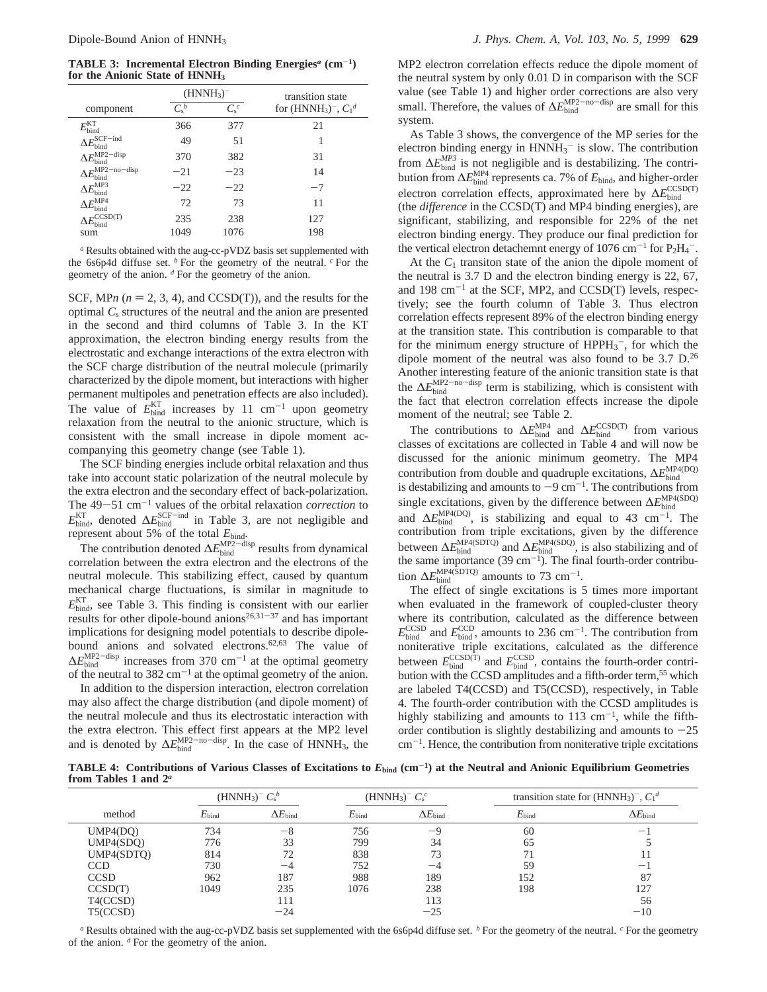**TABLE 3: Incremental Electron Binding Energies***<sup>a</sup>* **(cm**-**1) for the Anionic State of HNNH3**

|                                         | $(HNNH_3)^-$ |         | transition state             |
|-----------------------------------------|--------------|---------|------------------------------|
| component                               | $C_{s}^{b}$  | $C_s^c$ | for $(HNNH_3)^{-}$ , $C_1^d$ |
| $E_{\rm bind}^{\rm KT}$                 | 366          | 377     | 21                           |
| $\Delta E_{\rm bind}^{\rm SCF-ind}$     | 49           | 51      | 1                            |
| $\Delta E_{\rm bind}^{\rm MP2-disp}$    | 370          | 382     | 31                           |
| $\Delta E_{\rm bind}^{\rm MP2-no-disp}$ | $-21$        | $-23$   | 14                           |
| $\Delta E_{\rm bind}^{\rm MP3}$         | $-22$        | $-22$   | $-7$                         |
| $E^{\rm MP4}$<br><b>bind</b>            | 72           | 73      | 11                           |
| CCSD(T)<br>$E_{\text{bind}}$            | 235          | 238     | 127                          |
| sum                                     | 1049         | 1076    | 198                          |

*<sup>a</sup>* Results obtained with the aug-cc-pVDZ basis set supplemented with the 6s6p4d diffuse set. *<sup>b</sup>* For the geometry of the neutral. *<sup>c</sup>* For the geometry of the anion. *<sup>d</sup>* For the geometry of the anion.

SCF, MP $n (n = 2, 3, 4)$ , and CCSD(T)), and the results for the optimal *C*<sup>s</sup> structures of the neutral and the anion are presented in the second and third columns of Table 3. In the KT approximation, the electron binding energy results from the electrostatic and exchange interactions of the extra electron with the SCF charge distribution of the neutral molecule (primarily characterized by the dipole moment, but interactions with higher permanent multipoles and penetration effects are also included). The value of  $E_{bind}^{KT}$  increases by 11 cm<sup>-1</sup> upon geometry relaxation from the neutral to the anionic structure, which is consistent with the small increase in dipole moment accompanying this geometry change (see Table 1).

The SCF binding energies include orbital relaxation and thus take into account static polarization of the neutral molecule by the extra electron and the secondary effect of back-polarization. The 49-51 cm<sup>-1</sup> values of the orbital relaxation *correction* to  $E_{\text{bind}}^{\text{KT}}$ , denoted  $\Delta E_{\text{bind}}^{\text{SCF-ind}}$  in Table 3, are not negligible and represent about 5% of the total *E*bind.

The contribution denoted  $\Delta E_{\text{bind}}^{\text{MP2-disp}}$  results from dynamical correlation between the extra electron and the electrons of the neutral molecule. This stabilizing effect, caused by quantum mechanical charge fluctuations, is similar in magnitude to  $E_{\text{bind}}^{\text{KT}}$ , see Table 3. This finding is consistent with our earlier results for other dipole-bound anions<sup>26,31-37</sup> and has important implications for designing model potentials to describe dipolebound anions and solvated electrons.<sup>62,63</sup> The value of  $\Delta E_{\text{bind}}^{\text{MP2-disp}}$  increases from 370 cm<sup>-1</sup> at the optimal geometry of the neutral to  $382 \text{ cm}^{-1}$  at the optimal geometry of the anion.

In addition to the dispersion interaction, electron correlation may also affect the charge distribution (and dipole moment) of the neutral molecule and thus its electrostatic interaction with the extra electron. This effect first appears at the MP2 level and is denoted by  $\Delta E_{\text{bind}}^{\text{MP2-no-disp}}$ . In the case of HNNH<sub>3</sub>, the

MP2 electron correlation effects reduce the dipole moment of the neutral system by only 0.01 D in comparison with the SCF value (see Table 1) and higher order corrections are also very small. Therefore, the values of  $\Delta E_{\text{bind}}^{\text{MP2-no-disp}}$  are small for this system.

As Table 3 shows, the convergence of the MP series for the electron binding energy in  $HNNH_3$ <sup>-</sup> is slow. The contribution from  $\Delta E_{\text{bind}}^{MP3}$  is not negligible and is destabilizing. The contribution from  $\Delta E_{\text{bind}}^{\text{MP4}}$  represents ca. 7% of  $E_{\text{bind}}$ , and higher-order electron correlation effects, approximated here by  $\Delta E_{\text{bind}}^{\text{CCSD(T)}}$ (the *difference* in the CCSD(T) and MP4 binding energies), are significant, stabilizing, and responsible for 22% of the net electron binding energy. They produce our final prediction for the vertical electron detachemnt energy of  $1076 \text{ cm}^{-1}$  for  $\text{P}_2\text{H}_4$ <sup>-</sup>.

At the *C*<sup>1</sup> transiton state of the anion the dipole moment of the neutral is 3.7 D and the electron binding energy is 22, 67, and  $198 \text{ cm}^{-1}$  at the SCF, MP2, and CCSD(T) levels, respectively; see the fourth column of Table 3. Thus electron correlation effects represent 89% of the electron binding energy at the transition state. This contribution is comparable to that for the minimum energy structure of  $HPPH_3^-$ , for which the dipole moment of the neutral was also found to be 3.7 D.26 Another interesting feature of the anionic transition state is that the ∆*E*<sup>MP2-no-disp</sup> term is stabilizing, which is consistent with the fact that electron correlation effects increase the dipole moment of the neutral; see Table 2.

The contributions to  $\Delta E_{\text{bind}}^{\text{MP4}}$  and  $\Delta E_{\text{bind}}^{\text{CCSD(T)}}$  from various classes of excitations are collected in Table 4 and will now be discussed for the anionic minimum geometry. The MP4 contribution from double and quadruple excitations,  $\Delta E_{\text{bind}}^{\text{MP4(DQ)}}$ is destabilizing and amounts to  $-9$  cm<sup>-1</sup>. The contributions from single excitations, given by the difference between  $\Delta E_{\text{bind}}^{\text{MP4(SDQ)}}$ and  $\Delta E_{\text{bind}}^{\text{MP4(DQ)}}$ , is stabilizing and equal to 43 cm<sup>-1</sup>. The contribution from triple excitations, given by the difference between  $\Delta E_{\text{bind}}^{\text{MP4(SDTO)}}$  and  $\Delta E_{\text{bind}}^{\text{MP4(SDQ)}}$ , is also stabilizing and of the same importance  $(39 \text{ cm}^{-1})$ . The final fourth-order contribution  $\Delta E_{\text{bind}}^{\text{MP4(SDTQ)}}$  amounts to 73 cm<sup>-1</sup>.

The effect of single excitations is 5 times more important when evaluated in the framework of coupled-cluster theory where its contribution, calculated as the difference between  $E_{\text{bind}}^{\text{CCSD}}$  and  $E_{\text{bind}}^{\text{CCD}}$ , amounts to 236 cm<sup>-1</sup>. The contribution from noniterative triple excitations, calculated as the difference between  $E_{\text{bind}}^{\text{CCSD(T)}}$  and  $E_{\text{bind}}^{\text{CCSD}}$ , contains the fourth-order contribution with the CCSD amplitudes and a fifth-order term,<sup>55</sup> which are labeled T4(CCSD) and T5(CCSD), respectively, in Table 4. The fourth-order contribution with the CCSD amplitudes is highly stabilizing and amounts to  $113 \text{ cm}^{-1}$ , while the fifthorder contibution is slightly destabilizing and amounts to  $-25$  $cm^{-1}$ . Hence, the contribution from noniterative triple excitations

**TABLE 4: Contributions of Various Classes of Excitations to** *E***bind (cm**-**1) at the Neutral and Anionic Equilibrium Geometries from Tables 1 and 2***<sup>a</sup>*

|             | $(HNNH_3)^- C_s^b$ |                          |                   | $(HNNH_3)^- C_s^c$    | transition state for $(HNNH_3)^-$ , $C_1^d$ |                       |
|-------------|--------------------|--------------------------|-------------------|-----------------------|---------------------------------------------|-----------------------|
| method      | $E_{\text{bind}}$  | $\Delta E_\mathrm{bind}$ | $E_{\text{bind}}$ | $\Delta E_{\rm bind}$ | $E_{\text{bind}}$                           | $\Delta E_{\rm bind}$ |
| UMP4(DO)    | 734                | $-8$                     | 756               | $-9$                  | 60                                          | $\qquad \qquad -$     |
| UMP4(SDO)   | 776                | 33                       | 799               | 34                    | 65                                          |                       |
| UMP4(SDTO)  | 814                | 72                       | 838               | 73                    | 71                                          |                       |
| <b>CCD</b>  | 730                | $-4$                     | 752               | $-4$                  | 59                                          | $\qquad \qquad -$     |
| <b>CCSD</b> | 962                | 187                      | 988               | 189                   | 152                                         | 87                    |
| CCSD(T)     | 1049               | 235                      | 1076              | 238                   | 198                                         | 127                   |
| T4(CCSD)    |                    | 111                      |                   | 113                   |                                             | 56                    |
| T5(CCSD)    |                    | $-24$                    |                   | $-25$                 |                                             | $-10$                 |

*<sup>a</sup>* Results obtained with the aug-cc-pVDZ basis set supplemented with the 6s6p4d diffuse set. *<sup>b</sup>* For the geometry of the neutral. *<sup>c</sup>* For the geometry of the anion. *<sup>d</sup>* For the geometry of the anion.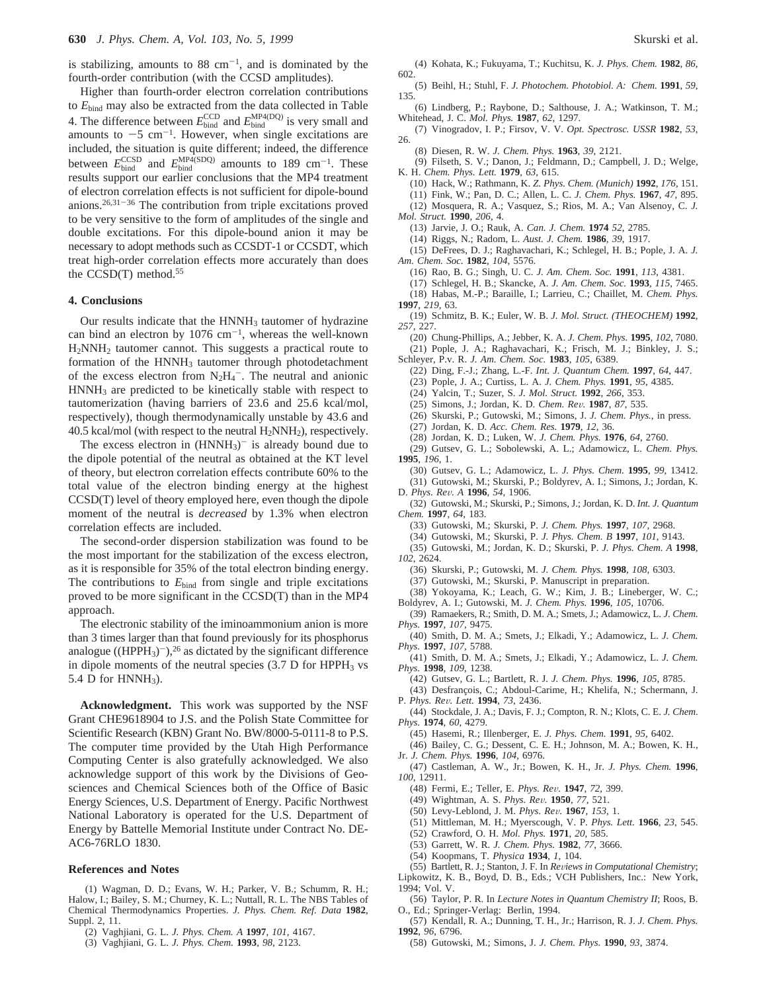is stabilizing, amounts to  $88 \text{ cm}^{-1}$ , and is dominated by the fourth-order contribution (with the CCSD amplitudes).

Higher than fourth-order electron correlation contributions to *E*bind may also be extracted from the data collected in Table 4. The difference between  $E_{\text{bind}}^{\text{CCD}}$  and  $E_{\text{bind}}^{\text{MP4(DQ)}}$  is very small and amounts to  $-5$  cm<sup>-1</sup>. However, when single excitations are included, the situation is quite different; indeed, the difference between  $E_{\text{bind}}^{\text{CCSD}}$  and  $E_{\text{bind}}^{\text{MP4(SDQ)}}$  amounts to 189 cm<sup>-1</sup>. These results support our earlier conclusions that the MP4 treatment of electron correlation effects is not sufficient for dipole-bound anions. $26,31-36$  The contribution from triple excitations proved to be very sensitive to the form of amplitudes of the single and double excitations. For this dipole-bound anion it may be necessary to adopt methods such as CCSDT-1 or CCSDT, which treat high-order correlation effects more accurately than does the CCSD(T) method.55

### **4. Conclusions**

Our results indicate that the HNNH<sub>3</sub> tautomer of hydrazine can bind an electron by  $1076 \text{ cm}^{-1}$ , whereas the well-known H2NNH2 tautomer cannot. This suggests a practical route to formation of the HNNH<sub>3</sub> tautomer through photodetachment of the excess electron from  $N_2H_4^-$ . The neutral and anionic HNNH3 are predicted to be kinetically stable with respect to tautomerization (having barriers of 23.6 and 25.6 kcal/mol, respectively), though thermodynamically unstable by 43.6 and 40.5 kcal/mol (with respect to the neutral  $H_2NNH_2$ ), respectively.

The excess electron in  $(HNNH_3)^-$  is already bound due to the dipole potential of the neutral as obtained at the KT level of theory, but electron correlation effects contribute 60% to the total value of the electron binding energy at the highest CCSD(T) level of theory employed here, even though the dipole moment of the neutral is *decreased* by 1.3% when electron correlation effects are included.

The second-order dispersion stabilization was found to be the most important for the stabilization of the excess electron, as it is responsible for 35% of the total electron binding energy. The contributions to  $E_{bind}$  from single and triple excitations proved to be more significant in the CCSD(T) than in the MP4 approach.

The electronic stability of the iminoammonium anion is more than 3 times larger than that found previously for its phosphorus analogue ((HPPH<sub>3</sub>)<sup>-</sup>),<sup>26</sup> as dictated by the significant difference in dipole moments of the neutral species  $(3.7 \text{ D}$  for HPPH<sub>3</sub> vs 5.4 D for  $HNNH_3$ ).

**Acknowledgment.** This work was supported by the NSF Grant CHE9618904 to J.S. and the Polish State Committee for Scientific Research (KBN) Grant No. BW/8000-5-0111-8 to P.S. The computer time provided by the Utah High Performance Computing Center is also gratefully acknowledged. We also acknowledge support of this work by the Divisions of Geosciences and Chemical Sciences both of the Office of Basic Energy Sciences, U.S. Department of Energy. Pacific Northwest National Laboratory is operated for the U.S. Department of Energy by Battelle Memorial Institute under Contract No. DE-AC6-76RLO 1830.

### **References and Notes**

(1) Wagman, D. D.; Evans, W. H.; Parker, V. B.; Schumm, R. H.; Halow, I.; Bailey, S. M.; Churney, K. L.; Nuttall, R. L. The NBS Tables of Chemical Thermodynamics Properties. *J. Phys. Chem. Ref. Data* **1982**, Suppl. 2, 11.

- (2) Vaghjiani, G. L. *J. Phys. Chem. A* **1997**, *101*, 4167.
- (3) Vaghjiani, G. L. *J. Phys. Chem*. **1993**, *98*, 2123.
- (4) Kohata, K.; Fukuyama, T.; Kuchitsu, K. *J. Phys. Chem.* **1982**, *86*, 602.
- (5) Beihl, H.; Stuhl, F. *J. Photochem. Photobiol. A: Chem.* **1991**, *59*, 135.
- (6) Lindberg, P.; Raybone, D.; Salthouse, J. A.; Watkinson, T. M.; Whitehead, J. C. *Mol. Phys.* **1987**, *62*, 1297.
- (7) Vinogradov, I. P.; Firsov, V. V. *Opt. Spectrosc. USSR* **1982**, *53*, 26.
	- (8) Diesen, R. W. *J. Chem. Phys.* **1963**, *39*, 2121.
- (9) Filseth, S. V.; Danon, J.; Feldmann, D.; Campbell, J. D.; Welge, K. H. *Chem. Phys. Lett.* **1979**, *63*, 615.
	- (10) Hack, W.; Rathmann, K. *Z. Phys. Chem. (Munich)* **1992**, *176*, 151.
	- (11) Fink, W.; Pan, D. C.; Allen, L. C. *J. Chem. Phys.* **1967**, *47*, 895.
- (12) Mosquera, R. A.; Vasquez, S.; Rios, M. A.; Van Alsenoy, C. *J. Mol. Struct.* **1990**, *206*, 4.
	- (13) Jarvie, J. O.; Rauk, A. *Can. J. Chem.* **1974** *52*, 2785.
	- (14) Riggs, N.; Radom, L. *Aust. J. Chem.* **1986**, *39*, 1917.
- (15) DeFrees, D. J.; Raghavachari, K.; Schlegel, H. B.; Pople, J. A. *J. Am. Chem. Soc.* **1982**, *104*, 5576.
	- (16) Rao, B. G.; Singh, U. C. *J. Am. Chem. Soc.* **1991**, *113*, 4381.
	- (17) Schlegel, H. B.; Skancke, A. *J. Am. Chem. Soc.* **1993**, *115*, 7465. (18) Habas, M.-P.; Baraille, I.; Larrieu, C.; Chaillet, M. *Chem. Phys.*
- **1997**, *219*, 63.
- (19) Schmitz, B. K.; Euler, W. B. *J. Mol. Struct. (THEOCHEM)* **1992**, *257*, 227.
- (20) Chung-Phillips, A.; Jebber, K. A. *J. Chem. Phys.* **1995**, *102*, 7080. (21) Pople, J. A.; Raghavachari, K.; Frisch, M. J.; Binkley, J. S.; Schleyer, P.v. R. *J. Am. Chem. Soc.* **1983**, *105*, 6389.
	- (22) Ding, F.-J.; Zhang, L.-F. *Int. J. Quantum Chem.* **1997**, *64*, 447.
	- (23) Pople, J. A.; Curtiss, L. A. *J. Chem. Phys.* **1991**, *95*, 4385.
	- (24) Yalcin, T.; Suzer, S. *J. Mol. Struct.* **1992**, *266*, 353.
	- (25) Simons, J.; Jordan, K. D. *Chem. Re*V*.* **<sup>1987</sup>**, *<sup>87</sup>*, 535.
	- (26) Skurski, P.; Gutowski, M.; Simons, J. *J. Chem. Phys.*, in press.
	- (27) Jordan, K. D. *Acc. Chem. Res.* **1979**, *12*, 36.
	- (28) Jordan, K. D.; Luken, W. *J. Chem. Phys.* **1976**, *64*, 2760.
	- (29) Gutsev, G. L.; Sobolewski, A. L.; Adamowicz, L. *Chem. Phys.*
- **1995**, *196*, 1. (30) Gutsev, G. L.; Adamowicz, L. *J. Phys. Chem.* **1995**, *99*, 13412.
- (31) Gutowski, M.; Skurski, P.; Boldyrev, A. I.; Simons, J.; Jordan, K. D. *Phys. Re*V*. A* **<sup>1996</sup>**, *<sup>54</sup>*, 1906.
- (32) Gutowski, M.; Skurski, P.; Simons, J.; Jordan, K. D. *Int. J. Quantum Chem.* **1997**, *64*, 183.
	- (33) Gutowski, M.; Skurski, P. *J. Chem. Phys.* **1997**, *107*, 2968.
	- (34) Gutowski, M.; Skurski, P. *J. Phys. Chem. B* **1997**, *101*, 9143.
- (35) Gutowski, M.; Jordan, K. D.; Skurski, P. *J. Phys. Chem. A* **1998**, *102*, 2624.
	- (36) Skurski, P.; Gutowski, M. *J. Chem. Phys.* **1998**, *108*, 6303.

(37) Gutowski, M.; Skurski, P. Manuscript in preparation.

- (38) Yokoyama, K.; Leach, G. W.; Kim, J. B.; Lineberger, W. C.;
- Boldyrev, A. I.; Gutowski, M. *J. Chem. Phys.* **1996**, *105*, 10706. (39) Ramaekers, R.; Smith, D. M. A.; Smets, J.; Adamowicz, L. *J. Chem. Phys.* **1997**, *107*, 9475.
- (40) Smith, D. M. A.; Smets, J.; Elkadi, Y.; Adamowicz, L. *J. Chem. Phys.* **1997**, *107*, 5788.
- (41) Smith, D. M. A.; Smets, J.; Elkadi, Y.; Adamowicz, L. *J. Chem. Phys.* **1998**, *109*, 1238.
	- (42) Gutsev, G. L.; Bartlett, R. J. *J. Chem. Phys.* **1996**, *105*, 8785.
- (43) Desfrançois, C.; Abdoul-Carime, H.; Khelifa, N.; Schermann, J. P. *Phys. Re*V*. Lett.* **<sup>1994</sup>**, *<sup>73</sup>*, 2436.
- (44) Stockdale, J. A.; Davis, F. J.; Compton, R. N.; Klots, C. E. *J. Chem. Phys.* **1974**, *60*, 4279.
	- (45) Hasemi, R.; Illenberger, E. *J. Phys. Chem.* **1991**, *95*, 6402.
- (46) Bailey, C. G.; Dessent, C. E. H.; Johnson, M. A.; Bowen, K. H., Jr. *J. Chem. Phys.* **1996**, *104*, 6976.
- (47) Castleman, A. W., Jr.; Bowen, K. H., Jr. *J. Phys. Chem.* **1996**, *100*, 12911.
	- (48) Fermi, E.; Teller, E. *Phys. Re*V*.* **<sup>1947</sup>**, *<sup>72</sup>*, 399.
	- (49) Wightman, A. S. *Phys. Re*V*.* **<sup>1950</sup>**, *<sup>77</sup>*, 521.
	- (50) Levy-Leblond, J. M. *Phys. Re*V*.* **<sup>1967</sup>**, *<sup>153</sup>*, 1.
	- (51) Mittleman, M. H.; Myerscough, V. P. *Phys. Lett.* **1966**, *23*, 545.
	- (52) Crawford, O. H. *Mol. Phys.* **1971**, *20*, 585.
	- (53) Garrett, W. R. *J. Chem. Phys.* **1982**, *77*, 3666.
	- (54) Koopmans, T. *Physica* **1934**, *1*, 104.

- (56) Taylor, P. R. In *Lecture Notes in Quantum Chemistry II*; Roos, B. O., Ed.; Springer-Verlag: Berlin, 1994.
- (57) Kendall, R. A.; Dunning, T. H., Jr.; Harrison, R. J. *J. Chem. Phys.* **1992**, *96*, 6796.
- (58) Gutowski, M.; Simons, J. *J. Chem. Phys.* **1990**, *93*, 3874.

<sup>(55)</sup> Bartlett, R. J.; Stanton, J. F. In *Reviews in Computational Chemistry*; Lipkowitz, K. B., Boyd, D. B., Eds.; VCH Publishers, Inc.: New York, 1994; Vol. V.